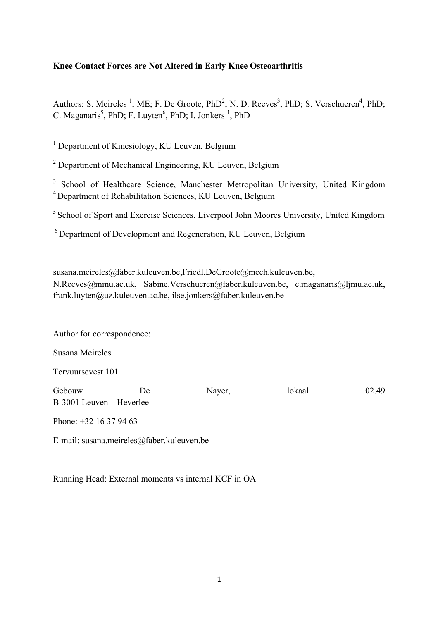# **Knee Contact Forces are Not Altered in Early Knee Osteoarthritis**

Authors: S. Meireles<sup>1</sup>, ME; F. De Groote, PhD<sup>2</sup>; N. D. Reeves<sup>3</sup>, PhD; S. Verschueren<sup>4</sup>, PhD; C. Maganaris<sup>5</sup>, PhD; F. Luyten<sup>6</sup>, PhD; I. Jonkers<sup>1</sup>, PhD

<sup>1</sup> Department of Kinesiology, KU Leuven, Belgium

<sup>2</sup> Department of Mechanical Engineering, KU Leuven, Belgium

<sup>3</sup> School of Healthcare Science, Manchester Metropolitan University, United Kingdom 4 Department of Rehabilitation Sciences, KU Leuven, Belgium

<sup>5</sup> School of Sport and Exercise Sciences, Liverpool John Moores University, United Kingdom

6 Department of Development and Regeneration, KU Leuven, Belgium

susana.meireles@faber.kuleuven.be,Friedl.DeGroote@mech.kuleuven.be, N.Reeves@mmu.ac.uk, Sabine.Verschueren@faber.kuleuven.be, c.maganaris@ljmu.ac.uk, frank.luyten@uz.kuleuven.ac.be, ilse.jonkers@faber.kuleuven.be

Author for correspondence:

Susana Meireles

Tervuursevest 101

Gebouw De Nayer, lokaal 02.49 B-3001 Leuven – Heverlee

Phone: +32 16 37 94 63

E-mail: susana.meireles@faber.kuleuven.be

Running Head: External moments vs internal KCF in OA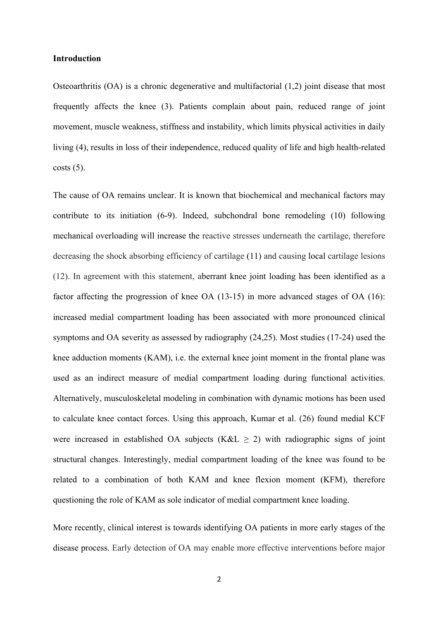#### **Introduction**

Osteoarthritis (OA) is a chronic degenerative and multifactorial (1,2) joint disease that most frequently affects the knee (3). Patients complain about pain, reduced range of joint movement, muscle weakness, stiffness and instability, which limits physical activities in daily living (4), results in loss of their independence, reduced quality of life and high health-related  $costs(5)$ .

The cause of OA remains unclear. It is known that biochemical and mechanical factors may contribute to its initiation (6-9). Indeed, subchondral bone remodeling (10) following mechanical overloading will increase the reactive stresses underneath the cartilage, therefore decreasing the shock absorbing efficiency of cartilage (11) and causing local cartilage lesions (12). In agreement with this statement, aberrant knee joint loading has been identified as a factor affecting the progression of knee OA (13-15) in more advanced stages of OA (16): increased medial compartment loading has been associated with more pronounced clinical symptoms and OA severity as assessed by radiography (24,25). Most studies (17-24) used the knee adduction moments (KAM), i.e. the external knee joint moment in the frontal plane was used as an indirect measure of medial compartment loading during functional activities. Alternatively, musculoskeletal modeling in combination with dynamic motions has been used to calculate knee contact forces. Using this approach, Kumar et al. (26) found medial KCF were increased in established OA subjects (K&L  $\geq$  2) with radiographic signs of joint structural changes. Interestingly, medial compartment loading of the knee was found to be related to a combination of both KAM and knee flexion moment (KFM), therefore questioning the role of KAM as sole indicator of medial compartment knee loading.

More recently, clinical interest is towards identifying OA patients in more early stages of the disease process. Early detection of OA may enable more effective interventions before major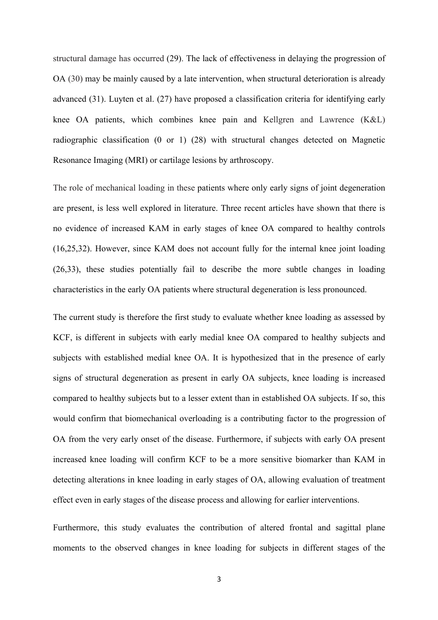structural damage has occurred (29). The lack of effectiveness in delaying the progression of OA (30) may be mainly caused by a late intervention, when structural deterioration is already advanced (31). Luyten et al. (27) have proposed a classification criteria for identifying early knee OA patients, which combines knee pain and Kellgren and Lawrence (K&L) radiographic classification (0 or 1) (28) with structural changes detected on Magnetic Resonance Imaging (MRI) or cartilage lesions by arthroscopy.

The role of mechanical loading in these patients where only early signs of joint degeneration are present, is less well explored in literature. Three recent articles have shown that there is no evidence of increased KAM in early stages of knee OA compared to healthy controls (16,25,32). However, since KAM does not account fully for the internal knee joint loading (26,33), these studies potentially fail to describe the more subtle changes in loading characteristics in the early OA patients where structural degeneration is less pronounced.

The current study is therefore the first study to evaluate whether knee loading as assessed by KCF, is different in subjects with early medial knee OA compared to healthy subjects and subjects with established medial knee OA. It is hypothesized that in the presence of early signs of structural degeneration as present in early OA subjects, knee loading is increased compared to healthy subjects but to a lesser extent than in established OA subjects. If so, this would confirm that biomechanical overloading is a contributing factor to the progression of OA from the very early onset of the disease. Furthermore, if subjects with early OA present increased knee loading will confirm KCF to be a more sensitive biomarker than KAM in detecting alterations in knee loading in early stages of OA, allowing evaluation of treatment effect even in early stages of the disease process and allowing for earlier interventions.

Furthermore, this study evaluates the contribution of altered frontal and sagittal plane moments to the observed changes in knee loading for subjects in different stages of the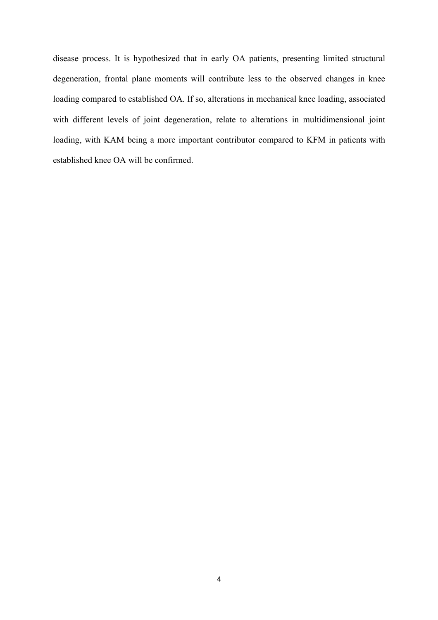disease process. It is hypothesized that in early OA patients, presenting limited structural degeneration, frontal plane moments will contribute less to the observed changes in knee loading compared to established OA. If so, alterations in mechanical knee loading, associated with different levels of joint degeneration, relate to alterations in multidimensional joint loading, with KAM being a more important contributor compared to KFM in patients with established knee OA will be confirmed.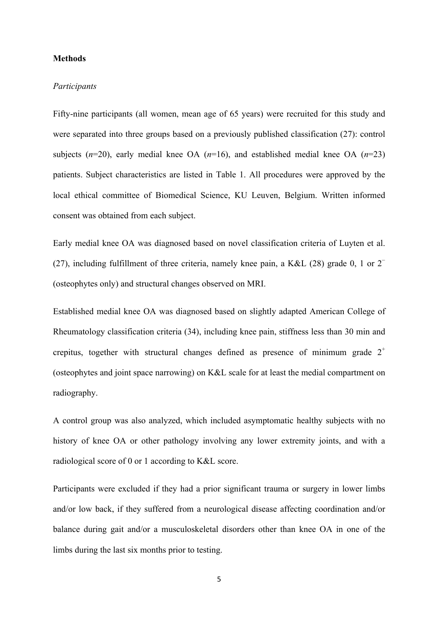#### **Methods**

#### *Participants*

Fifty-nine participants (all women, mean age of 65 years) were recruited for this study and were separated into three groups based on a previously published classification (27): control subjects  $(n=20)$ , early medial knee OA  $(n=16)$ , and established medial knee OA  $(n=23)$ patients. Subject characteristics are listed in Table 1. All procedures were approved by the local ethical committee of Biomedical Science, KU Leuven, Belgium. Written informed consent was obtained from each subject.

Early medial knee OA was diagnosed based on novel classification criteria of Luyten et al. (27), including fulfillment of three criteria, namely knee pain, a K&L (28) grade 0, 1 or  $2<sup>-</sup>$ (osteophytes only) and structural changes observed on MRI.

Established medial knee OA was diagnosed based on slightly adapted American College of Rheumatology classification criteria (34), including knee pain, stiffness less than 30 min and crepitus, together with structural changes defined as presence of minimum grade  $2^+$ (osteophytes and joint space narrowing) on K&L scale for at least the medial compartment on radiography.

A control group was also analyzed, which included asymptomatic healthy subjects with no history of knee OA or other pathology involving any lower extremity joints, and with a radiological score of 0 or 1 according to K&L score.

Participants were excluded if they had a prior significant trauma or surgery in lower limbs and/or low back, if they suffered from a neurological disease affecting coordination and/or balance during gait and/or a musculoskeletal disorders other than knee OA in one of the limbs during the last six months prior to testing.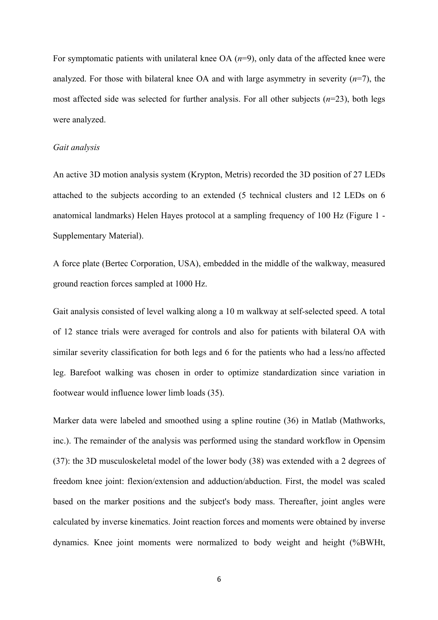For symptomatic patients with unilateral knee OA (*n*=9), only data of the affected knee were analyzed. For those with bilateral knee OA and with large asymmetry in severity (*n*=7), the most affected side was selected for further analysis. For all other subjects (*n*=23), both legs were analyzed.

## *Gait analysis*

An active 3D motion analysis system (Krypton, Metris) recorded the 3D position of 27 LEDs attached to the subjects according to an extended (5 technical clusters and 12 LEDs on 6 anatomical landmarks) Helen Hayes protocol at a sampling frequency of 100 Hz (Figure 1 - Supplementary Material).

A force plate (Bertec Corporation, USA), embedded in the middle of the walkway, measured ground reaction forces sampled at 1000 Hz.

Gait analysis consisted of level walking along a 10 m walkway at self-selected speed. A total of 12 stance trials were averaged for controls and also for patients with bilateral OA with similar severity classification for both legs and 6 for the patients who had a less/no affected leg. Barefoot walking was chosen in order to optimize standardization since variation in footwear would influence lower limb loads (35).

Marker data were labeled and smoothed using a spline routine (36) in Matlab (Mathworks, inc.). The remainder of the analysis was performed using the standard workflow in Opensim (37): the 3D musculoskeletal model of the lower body (38) was extended with a 2 degrees of freedom knee joint: flexion/extension and adduction/abduction. First, the model was scaled based on the marker positions and the subject's body mass. Thereafter, joint angles were calculated by inverse kinematics. Joint reaction forces and moments were obtained by inverse dynamics. Knee joint moments were normalized to body weight and height (%BWHt,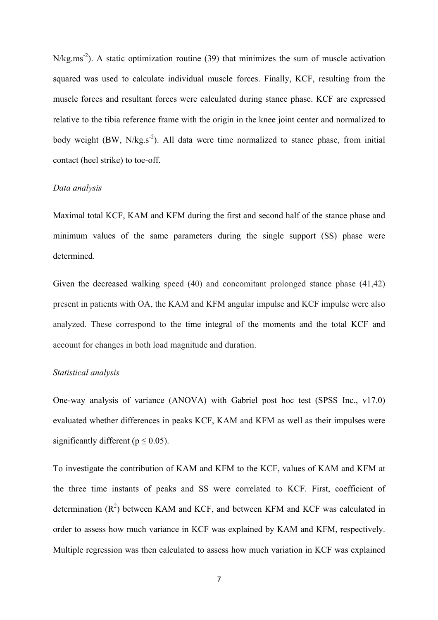$N/kg.ms<sup>-2</sup>)$ . A static optimization routine (39) that minimizes the sum of muscle activation squared was used to calculate individual muscle forces. Finally, KCF, resulting from the muscle forces and resultant forces were calculated during stance phase. KCF are expressed relative to the tibia reference frame with the origin in the knee joint center and normalized to body weight  $(BW, N/kg.s^{-2})$ . All data were time normalized to stance phase, from initial contact (heel strike) to toe-off.

#### *Data analysis*

Maximal total KCF, KAM and KFM during the first and second half of the stance phase and minimum values of the same parameters during the single support (SS) phase were determined.

Given the decreased walking speed (40) and concomitant prolonged stance phase (41,42) present in patients with OA, the KAM and KFM angular impulse and KCF impulse were also analyzed. These correspond to the time integral of the moments and the total KCF and account for changes in both load magnitude and duration.

## *Statistical analysis*

One-way analysis of variance (ANOVA) with Gabriel post hoc test (SPSS Inc., v17.0) evaluated whether differences in peaks KCF, KAM and KFM as well as their impulses were significantly different ( $p \le 0.05$ ).

To investigate the contribution of KAM and KFM to the KCF, values of KAM and KFM at the three time instants of peaks and SS were correlated to KCF. First, coefficient of determination  $(R^2)$  between KAM and KCF, and between KFM and KCF was calculated in order to assess how much variance in KCF was explained by KAM and KFM, respectively. Multiple regression was then calculated to assess how much variation in KCF was explained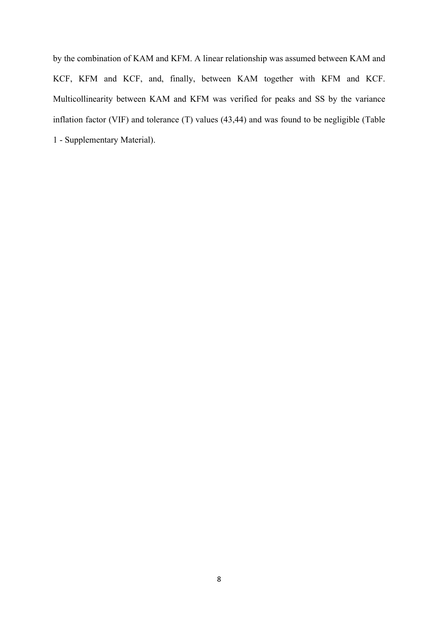by the combination of KAM and KFM. A linear relationship was assumed between KAM and KCF, KFM and KCF, and, finally, between KAM together with KFM and KCF. Multicollinearity between KAM and KFM was verified for peaks and SS by the variance inflation factor (VIF) and tolerance (T) values (43,44) and was found to be negligible (Table 1 - Supplementary Material).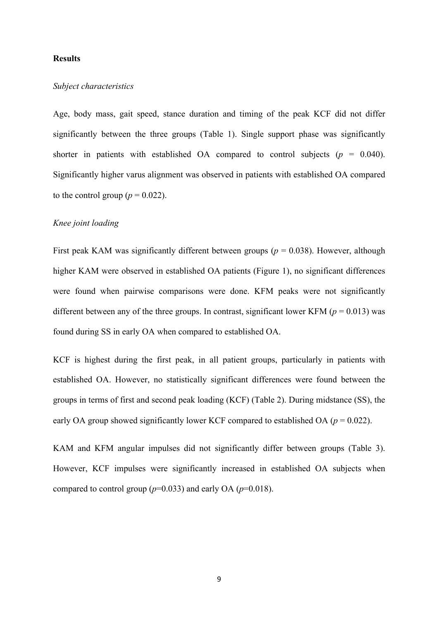#### **Results**

# *Subject characteristics*

Age, body mass, gait speed, stance duration and timing of the peak KCF did not differ significantly between the three groups (Table 1). Single support phase was significantly shorter in patients with established OA compared to control subjects  $(p = 0.040)$ . Significantly higher varus alignment was observed in patients with established OA compared to the control group ( $p = 0.022$ ).

## *Knee joint loading*

First peak KAM was significantly different between groups ( $p = 0.038$ ). However, although higher KAM were observed in established OA patients (Figure 1), no significant differences were found when pairwise comparisons were done. KFM peaks were not significantly different between any of the three groups. In contrast, significant lower KFM ( $p = 0.013$ ) was found during SS in early OA when compared to established OA.

KCF is highest during the first peak, in all patient groups, particularly in patients with established OA. However, no statistically significant differences were found between the groups in terms of first and second peak loading (KCF) (Table 2). During midstance (SS), the early OA group showed significantly lower KCF compared to established OA (*p* = 0.022).

KAM and KFM angular impulses did not significantly differ between groups (Table 3). However, KCF impulses were significantly increased in established OA subjects when compared to control group  $(p=0.033)$  and early OA  $(p=0.018)$ .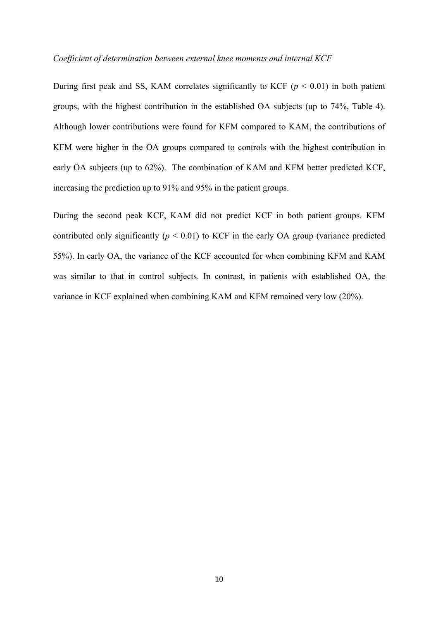#### *Coefficient of determination between external knee moments and internal KCF*

During first peak and SS, KAM correlates significantly to KCF ( $p < 0.01$ ) in both patient groups, with the highest contribution in the established OA subjects (up to 74%, Table 4). Although lower contributions were found for KFM compared to KAM, the contributions of KFM were higher in the OA groups compared to controls with the highest contribution in early OA subjects (up to 62%). The combination of KAM and KFM better predicted KCF, increasing the prediction up to 91% and 95% in the patient groups.

During the second peak KCF, KAM did not predict KCF in both patient groups. KFM contributed only significantly  $(p < 0.01)$  to KCF in the early OA group (variance predicted 55%). In early OA, the variance of the KCF accounted for when combining KFM and KAM was similar to that in control subjects. In contrast, in patients with established OA, the variance in KCF explained when combining KAM and KFM remained very low (20%).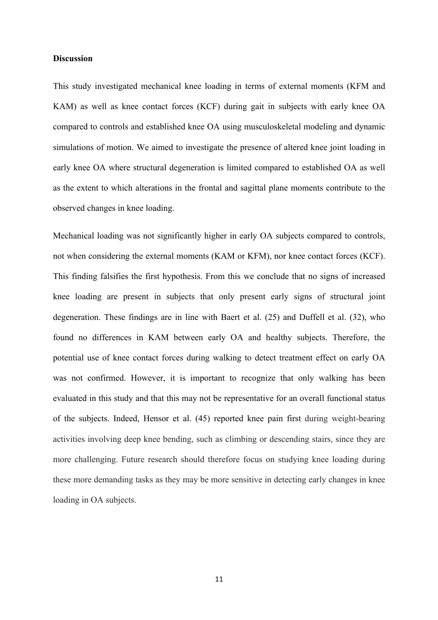#### **Discussion**

This study investigated mechanical knee loading in terms of external moments (KFM and KAM) as well as knee contact forces (KCF) during gait in subjects with early knee OA compared to controls and established knee OA using musculoskeletal modeling and dynamic simulations of motion. We aimed to investigate the presence of altered knee joint loading in early knee OA where structural degeneration is limited compared to established OA as well as the extent to which alterations in the frontal and sagittal plane moments contribute to the observed changes in knee loading.

Mechanical loading was not significantly higher in early OA subjects compared to controls, not when considering the external moments (KAM or KFM), nor knee contact forces (KCF). This finding falsifies the first hypothesis. From this we conclude that no signs of increased knee loading are present in subjects that only present early signs of structural joint degeneration. These findings are in line with Baert et al. (25) and Duffell et al. (32), who found no differences in KAM between early OA and healthy subjects. Therefore, the potential use of knee contact forces during walking to detect treatment effect on early OA was not confirmed. However, it is important to recognize that only walking has been evaluated in this study and that this may not be representative for an overall functional status of the subjects. Indeed, Hensor et al. (45) reported knee pain first during weight-bearing activities involving deep knee bending, such as climbing or descending stairs, since they are more challenging. Future research should therefore focus on studying knee loading during these more demanding tasks as they may be more sensitive in detecting early changes in knee loading in OA subjects.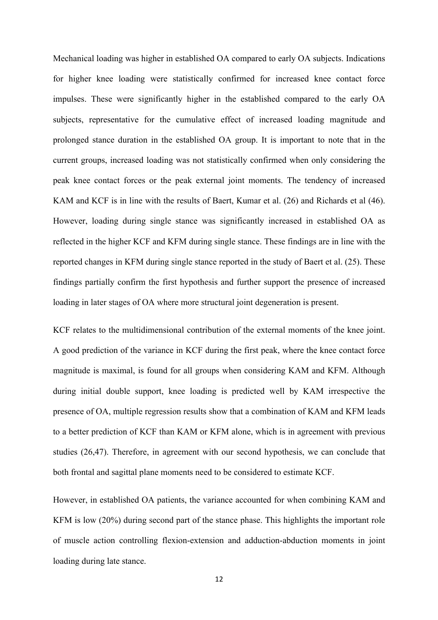Mechanical loading was higher in established OA compared to early OA subjects. Indications for higher knee loading were statistically confirmed for increased knee contact force impulses. These were significantly higher in the established compared to the early OA subjects, representative for the cumulative effect of increased loading magnitude and prolonged stance duration in the established OA group. It is important to note that in the current groups, increased loading was not statistically confirmed when only considering the peak knee contact forces or the peak external joint moments. The tendency of increased KAM and KCF is in line with the results of Baert, Kumar et al. (26) and Richards et al (46). However, loading during single stance was significantly increased in established OA as reflected in the higher KCF and KFM during single stance. These findings are in line with the reported changes in KFM during single stance reported in the study of Baert et al. (25). These findings partially confirm the first hypothesis and further support the presence of increased loading in later stages of OA where more structural joint degeneration is present.

KCF relates to the multidimensional contribution of the external moments of the knee joint. A good prediction of the variance in KCF during the first peak, where the knee contact force magnitude is maximal, is found for all groups when considering KAM and KFM. Although during initial double support, knee loading is predicted well by KAM irrespective the presence of OA, multiple regression results show that a combination of KAM and KFM leads to a better prediction of KCF than KAM or KFM alone, which is in agreement with previous studies (26,47). Therefore, in agreement with our second hypothesis, we can conclude that both frontal and sagittal plane moments need to be considered to estimate KCF.

However, in established OA patients, the variance accounted for when combining KAM and KFM is low (20%) during second part of the stance phase. This highlights the important role of muscle action controlling flexion-extension and adduction-abduction moments in joint loading during late stance.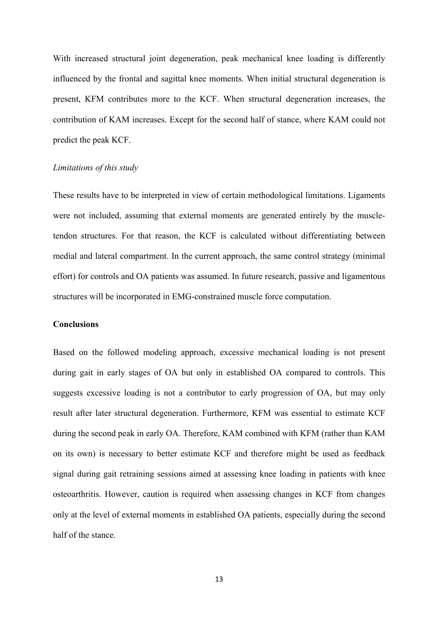With increased structural joint degeneration, peak mechanical knee loading is differently influenced by the frontal and sagittal knee moments. When initial structural degeneration is present, KFM contributes more to the KCF. When structural degeneration increases, the contribution of KAM increases. Except for the second half of stance, where KAM could not predict the peak KCF.

### *Limitations of this study*

These results have to be interpreted in view of certain methodological limitations. Ligaments were not included, assuming that external moments are generated entirely by the muscletendon structures. For that reason, the KCF is calculated without differentiating between medial and lateral compartment. In the current approach, the same control strategy (minimal effort) for controls and OA patients was assumed. In future research, passive and ligamentous structures will be incorporated in EMG-constrained muscle force computation.

### **Conclusions**

Based on the followed modeling approach, excessive mechanical loading is not present during gait in early stages of OA but only in established OA compared to controls. This suggests excessive loading is not a contributor to early progression of OA, but may only result after later structural degeneration. Furthermore, KFM was essential to estimate KCF during the second peak in early OA. Therefore, KAM combined with KFM (rather than KAM on its own) is necessary to better estimate KCF and therefore might be used as feedback signal during gait retraining sessions aimed at assessing knee loading in patients with knee osteoarthritis. However, caution is required when assessing changes in KCF from changes only at the level of external moments in established OA patients, especially during the second half of the stance.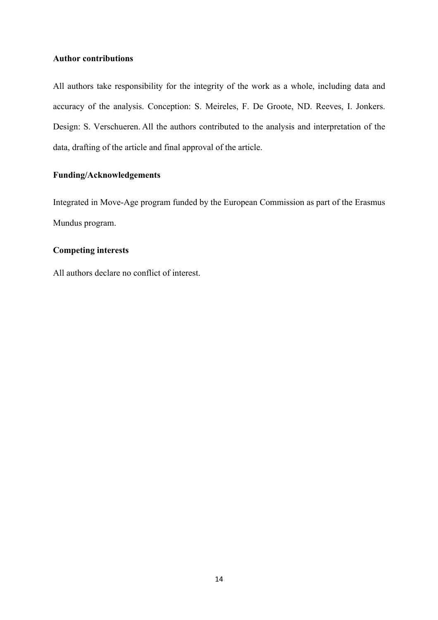# **Author contributions**

All authors take responsibility for the integrity of the work as a whole, including data and accuracy of the analysis. Conception: S. Meireles, F. De Groote, ND. Reeves, I. Jonkers. Design: S. Verschueren. All the authors contributed to the analysis and interpretation of the data, drafting of the article and final approval of the article.

# **Funding/Acknowledgements**

Integrated in Move-Age program funded by the European Commission as part of the Erasmus Mundus program.

# **Competing interests**

All authors declare no conflict of interest.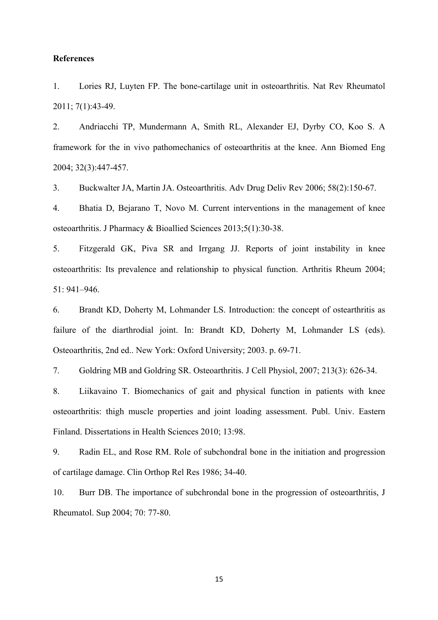#### **References**

1. Lories RJ, Luyten FP. The bone-cartilage unit in osteoarthritis. Nat Rev Rheumatol 2011; 7(1):43-49.

2. Andriacchi TP, Mundermann A, Smith RL, Alexander EJ, Dyrby CO, Koo S. A framework for the in vivo pathomechanics of osteoarthritis at the knee. Ann Biomed Eng 2004; 32(3):447-457.

3. Buckwalter JA, Martin JA. Osteoarthritis. Adv Drug Deliv Rev 2006; 58(2):150-67.

4. Bhatia D, Bejarano T, Novo M. Current interventions in the management of knee osteoarthritis. J Pharmacy & Bioallied Sciences 2013;5(1):30-38.

5. Fitzgerald GK, Piva SR and Irrgang JJ. Reports of joint instability in knee osteoarthritis: Its prevalence and relationship to physical function. Arthritis Rheum 2004; 51: 941–946.

6. Brandt KD, Doherty M, Lohmander LS. Introduction: the concept of ostearthritis as failure of the diarthrodial joint. In: Brandt KD, Doherty M, Lohmander LS (eds). Osteoarthritis, 2nd ed.. New York: Oxford University; 2003. p. 69-71.

7. Goldring MB and Goldring SR. Osteoarthritis. J Cell Physiol, 2007; 213(3): 626-34.

8. Liikavaino T. Biomechanics of gait and physical function in patients with knee osteoarthritis: thigh muscle properties and joint loading assessment. Publ. Univ. Eastern Finland. Dissertations in Health Sciences 2010; 13:98.

9. Radin EL, and Rose RM. Role of subchondral bone in the initiation and progression of cartilage damage. Clin Orthop Rel Res 1986; 34-40.

10. Burr DB. The importance of subchrondal bone in the progression of osteoarthritis, J Rheumatol. Sup 2004; 70: 77-80.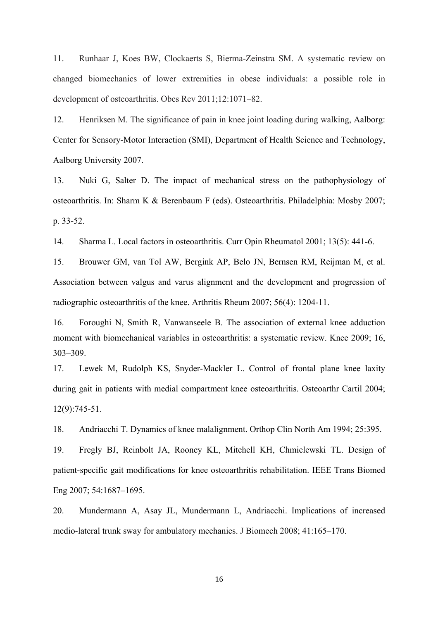11. Runhaar J, Koes BW, Clockaerts S, Bierma-Zeinstra SM. A systematic review on changed biomechanics of lower extremities in obese individuals: a possible role in development of osteoarthritis. Obes Rev 2011;12:1071–82.

12. Henriksen M. The significance of pain in knee joint loading during walking, Aalborg: Center for Sensory-Motor Interaction (SMI), Department of Health Science and Technology, Aalborg University 2007.

13. Nuki G, Salter D. The impact of mechanical stress on the pathophysiology of osteoarthritis. In: Sharm K & Berenbaum F (eds). Osteoarthritis. Philadelphia: Mosby 2007; p. 33-52.

14. Sharma L. Local factors in osteoarthritis. Curr Opin Rheumatol 2001; 13(5): 441-6.

15. Brouwer GM, van Tol AW, Bergink AP, Belo JN, Bernsen RM, Reijman M, et al. Association between valgus and varus alignment and the development and progression of radiographic osteoarthritis of the knee. Arthritis Rheum 2007; 56(4): 1204-11.

16. Foroughi N, Smith R, Vanwanseele B. The association of external knee adduction moment with biomechanical variables in osteoarthritis: a systematic review. Knee 2009; 16, 303–309.

17. Lewek M, Rudolph KS, Snyder-Mackler L. Control of frontal plane knee laxity during gait in patients with medial compartment knee osteoarthritis. Osteoarthr Cartil 2004; 12(9):745-51.

18. Andriacchi T. Dynamics of knee malalignment. Orthop Clin North Am 1994; 25:395.

19. Fregly BJ, Reinbolt JA, Rooney KL, Mitchell KH, Chmielewski TL. Design of patient-specific gait modifications for knee osteoarthritis rehabilitation. IEEE Trans Biomed Eng 2007; 54:1687–1695.

20. Mundermann A, Asay JL, Mundermann L, Andriacchi. Implications of increased medio-lateral trunk sway for ambulatory mechanics. J Biomech 2008; 41:165–170.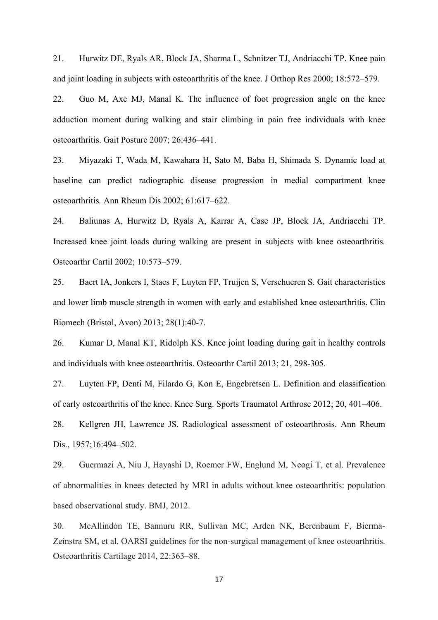21. Hurwitz DE, Ryals AR, Block JA, Sharma L, Schnitzer TJ, Andriacchi TP. Knee pain and joint loading in subjects with osteoarthritis of the knee. J Orthop Res 2000; 18:572–579.

22. Guo M, Axe MJ, Manal K. The influence of foot progression angle on the knee adduction moment during walking and stair climbing in pain free individuals with knee osteoarthritis. Gait Posture 2007; 26:436–441.

23. Miyazaki T, Wada M, Kawahara H, Sato M, Baba H, Shimada S. Dynamic load at baseline can predict radiographic disease progression in medial compartment knee osteoarthritis*.* Ann Rheum Dis 2002; 61:617–622.

24. Baliunas A, Hurwitz D, Ryals A, Karrar A, Case JP, Block JA, Andriacchi TP. Increased knee joint loads during walking are present in subjects with knee osteoarthritis*.*  Osteoarthr Cartil 2002; 10:573–579.

25. Baert IA, Jonkers I, Staes F, Luyten FP, Truijen S, Verschueren S. Gait characteristics and lower limb muscle strength in women with early and established knee osteoarthritis. Clin Biomech (Bristol, Avon) 2013; 28(1):40-7.

26. Kumar D, Manal KT, Ridolph KS. Knee joint loading during gait in healthy controls and individuals with knee osteoarthritis. Osteoarthr Cartil 2013; 21, 298-305.

27. Luyten FP, Denti M, Filardo G, Kon E, Engebretsen L. Definition and classification of early osteoarthritis of the knee. Knee Surg. Sports Traumatol Arthrosc 2012; 20, 401–406.

28. Kellgren JH, Lawrence JS. Radiological assessment of osteoarthrosis. Ann Rheum Dis., 1957;16:494–502.

29. Guermazi A, Niu J, Hayashi D, Roemer FW, Englund M, Neogi T, et al. Prevalence of abnormalities in knees detected by MRI in adults without knee osteoarthritis: population based observational study. BMJ, 2012.

30. McAllindon TE, Bannuru RR, Sullivan MC, Arden NK, Berenbaum F, Bierma-Zeinstra SM, et al. OARSI guidelines for the non-surgical management of knee osteoarthritis. Osteoarthritis Cartilage 2014, 22:363–88.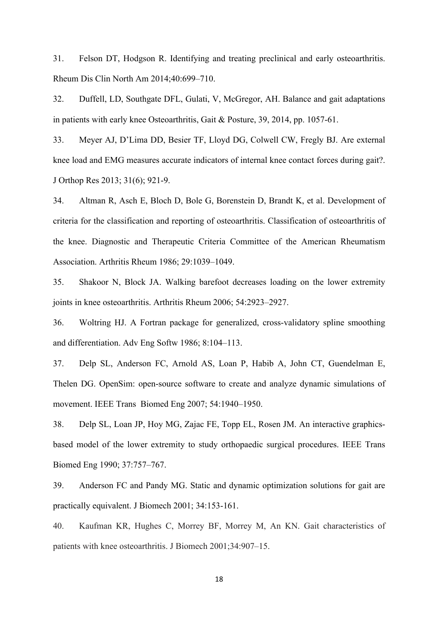31. Felson DT, Hodgson R. Identifying and treating preclinical and early osteoarthritis. Rheum Dis Clin North Am 2014;40:699–710.

32. Duffell, LD, Southgate DFL, Gulati, V, McGregor, AH. Balance and gait adaptations in patients with early knee Osteoarthritis, Gait & Posture, 39, 2014, pp. 1057-61.

33. Meyer AJ, D'Lima DD, Besier TF, Lloyd DG, Colwell CW, Fregly BJ. Are external knee load and EMG measures accurate indicators of internal knee contact forces during gait?. J Orthop Res 2013; 31(6); 921-9.

34. Altman R, Asch E, Bloch D, Bole G, Borenstein D, Brandt K, et al. Development of criteria for the classification and reporting of osteoarthritis. Classification of osteoarthritis of the knee. Diagnostic and Therapeutic Criteria Committee of the American Rheumatism Association. Arthritis Rheum 1986; 29:1039–1049.

35. Shakoor N, Block JA. Walking barefoot decreases loading on the lower extremity joints in knee osteoarthritis. Arthritis Rheum 2006; 54:2923–2927.

36. Woltring HJ. A Fortran package for generalized, cross-validatory spline smoothing and differentiation. Adv Eng Softw 1986; 8:104–113.

37. Delp SL, Anderson FC, Arnold AS, Loan P, Habib A, John CT, Guendelman E, Thelen DG. OpenSim: open-source software to create and analyze dynamic simulations of movement. IEEE Trans Biomed Eng 2007; 54:1940–1950.

38. Delp SL, Loan JP, Hoy MG, Zajac FE, Topp EL, Rosen JM. An interactive graphicsbased model of the lower extremity to study orthopaedic surgical procedures. IEEE Trans Biomed Eng 1990; 37:757–767.

39. Anderson FC and Pandy MG. Static and dynamic optimization solutions for gait are practically equivalent. J Biomech 2001; 34:153-161.

40. Kaufman KR, Hughes C, Morrey BF, Morrey M, An KN. Gait characteristics of patients with knee osteoarthritis. J Biomech 2001;34:907–15.